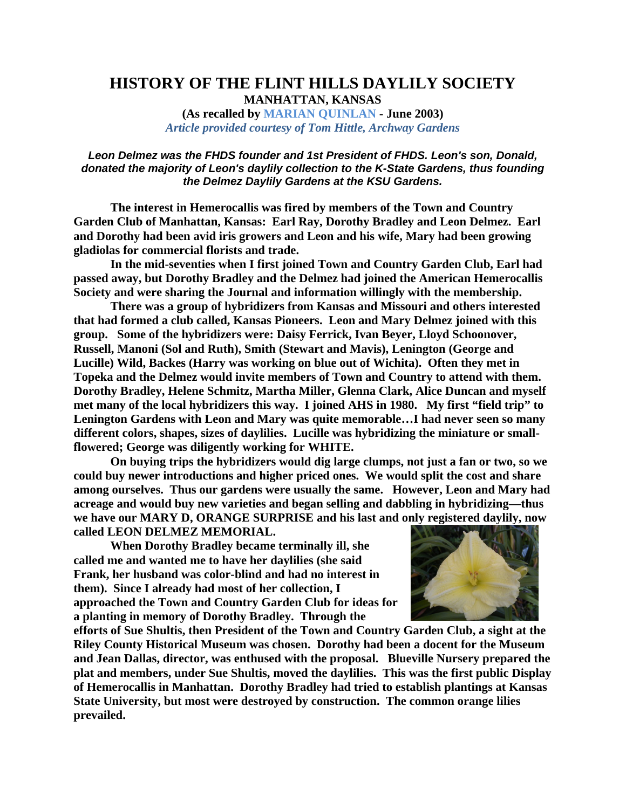## **HISTORY OF THE FLINT HILLS DAYLILY SOCIETY MANHATTAN, KANSAS**

**(As recalled by MARIAN QUINLAN - June 2003)**  *Article provided courtesy of Tom Hittle, Archway Gardens*

## *Leon Delmez was the FHDS founder and 1st President of FHDS. Leon's son, Donald, donated the majority of Leon's daylily collection to the K-State Gardens, thus founding the Delmez Daylily Gardens at the KSU Gardens.*

**The interest in Hemerocallis was fired by members of the Town and Country Garden Club of Manhattan, Kansas: Earl Ray, Dorothy Bradley and Leon Delmez. Earl and Dorothy had been avid iris growers and Leon and his wife, Mary had been growing gladiolas for commercial florists and trade.**

**In the mid-seventies when I first joined Town and Country Garden Club, Earl had passed away, but Dorothy Bradley and the Delmez had joined the American Hemerocallis Society and were sharing the Journal and information willingly with the membership.**

**There was a group of hybridizers from Kansas and Missouri and others interested that had formed a club called, Kansas Pioneers. Leon and Mary Delmez joined with this group. Some of the hybridizers were: Daisy Ferrick, Ivan Beyer, Lloyd Schoonover, Russell, Manoni (Sol and Ruth), Smith (Stewart and Mavis), Lenington (George and Lucille) Wild, Backes (Harry was working on blue out of Wichita). Often they met in Topeka and the Delmez would invite members of Town and Country to attend with them. Dorothy Bradley, Helene Schmitz, Martha Miller, Glenna Clark, Alice Duncan and myself met many of the local hybridizers this way. I joined AHS in 1980. My first "field trip" to Lenington Gardens with Leon and Mary was quite memorable…I had never seen so many different colors, shapes, sizes of daylilies. Lucille was hybridizing the miniature or smallflowered; George was diligently working for WHITE.** 

**On buying trips the hybridizers would dig large clumps, not just a fan or two, so we could buy newer introductions and higher priced ones. We would split the cost and share among ourselves. Thus our gardens were usually the same. However, Leon and Mary had acreage and would buy new varieties and began selling and dabbling in hybridizing—thus we have our MARY D, ORANGE SURPRISE and his last and only registered daylily, now called LEON DELMEZ MEMORIAL.** 

**When Dorothy Bradley became terminally ill, she called me and wanted me to have her daylilies (she said Frank, her husband was color-blind and had no interest in them). Since I already had most of her collection, I approached the Town and Country Garden Club for ideas for a planting in memory of Dorothy Bradley. Through the** 



**efforts of Sue Shultis, then President of the Town and Country Garden Club, a sight at the Riley County Historical Museum was chosen. Dorothy had been a docent for the Museum and Jean Dallas, director, was enthused with the proposal. Blueville Nursery prepared the plat and members, under Sue Shultis, moved the daylilies. This was the first public Display of Hemerocallis in Manhattan. Dorothy Bradley had tried to establish plantings at Kansas State University, but most were destroyed by construction. The common orange lilies prevailed.**